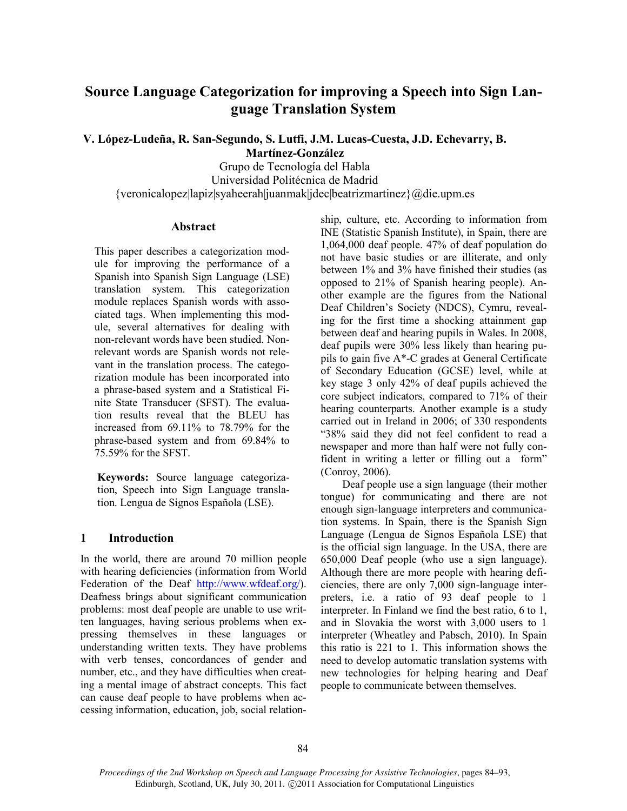# **Source Language Categorization for improving a Speech into Sign Language Translation System**

**V. López-Ludeña, R. San-Segundo, S. Lutfi, J.M. Lucas-Cuesta, J.D. Echevarry, B. Martínez-González**

Grupo de Tecnología del Habla Universidad Politécnica de Madrid  ${veronicalopez}$ |lapiz|syaheerah|juanmak|jdec|beatrizmartinez ${Q}$ die.upm.es

#### **Abstract**

This paper describes a categorization module for improving the performance of a Spanish into Spanish Sign Language (LSE) translation system. This categorization module replaces Spanish words with associated tags. When implementing this module, several alternatives for dealing with non-relevant words have been studied. Nonrelevant words are Spanish words not relevant in the translation process. The categorization module has been incorporated into a phrase-based system and a Statistical Finite State Transducer (SFST). The evaluation results reveal that the BLEU has increased from 69.11% to 78.79% for the phrase-based system and from 69.84% to 75.59% for the SFST.

**Keywords:** Source language categorization, Speech into Sign Language translation. Lengua de Signos Española (LSE).

# **1 Introduction**

In the world, there are around 70 million people with hearing deficiencies (information from World Federation of the Deaf http://www.wfdeaf.org/). Deafness brings about significant communication problems: most deaf people are unable to use written languages, having serious problems when expressing themselves in these languages or understanding written texts. They have problems with verb tenses, concordances of gender and number, etc., and they have difficulties when creating a mental image of abstract concepts. This fact can cause deaf people to have problems when accessing information, education, job, social relationship, culture, etc. According to information from INE (Statistic Spanish Institute), in Spain, there are 1,064,000 deaf people. 47% of deaf population do not have basic studies or are illiterate, and only between 1% and 3% have finished their studies (as opposed to 21% of Spanish hearing people). Another example are the figures from the National Deaf Children's Society (NDCS), Cymru, revealing for the first time a shocking attainment gap between deaf and hearing pupils in Wales. In 2008, deaf pupils were 30% less likely than hearing pupils to gain five A\*-C grades at General Certificate of Secondary Education (GCSE) level, while at key stage 3 only 42% of deaf pupils achieved the core subject indicators, compared to 71% of their hearing counterparts. Another example is a study carried out in Ireland in 2006; of 330 respondents "38% said they did not feel confident to read a newspaper and more than half were not fully confident in writing a letter or filling out a form" (Conroy, 2006).

Deaf people use a sign language (their mother tongue) for communicating and there are not enough sign-language interpreters and communication systems. In Spain, there is the Spanish Sign Language (Lengua de Signos Española LSE) that is the official sign language. In the USA, there are 650,000 Deaf people (who use a sign language). Although there are more people with hearing deficiencies, there are only 7,000 sign-language interpreters, i.e. a ratio of 93 deaf people to 1 interpreter. In Finland we find the best ratio, 6 to 1, and in Slovakia the worst with 3,000 users to 1 interpreter (Wheatley and Pabsch, 2010). In Spain this ratio is 221 to 1. This information shows the need to develop automatic translation systems with new technologies for helping hearing and Deaf people to communicate between themselves.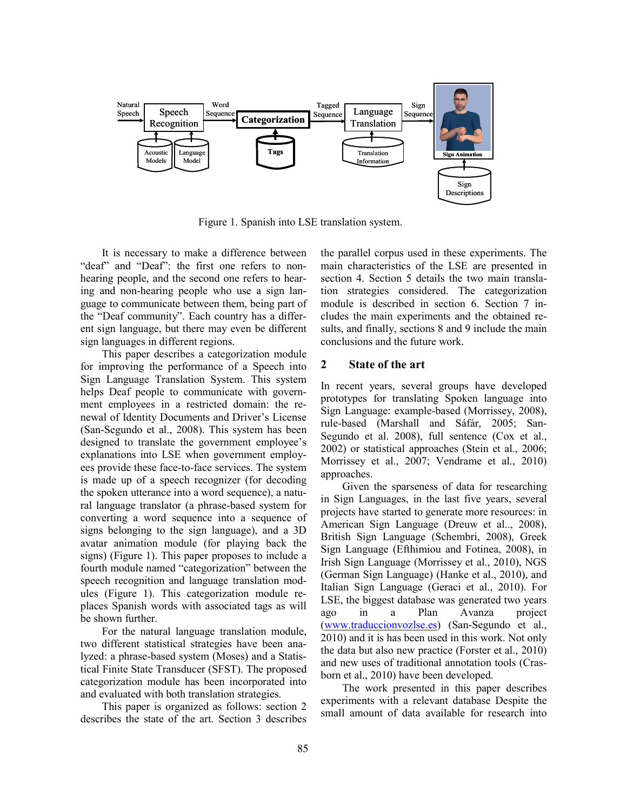

Figure 1. Spanish into LSE translation system.

It is necessary to make a difference between "deaf" and "Deaf": the first one refers to nonhearing people, and the second one refers to hearing and non-hearing people who use a sign language to communicate between them, being part of the "Deaf community". Each country has a different sign language, but there may even be different sign languages in different regions.

This paper describes a categorization module for improving the performance of a Speech into Sign Language Translation System. This system helps Deaf people to communicate with government employees in a restricted domain: the renewal of Identity Documents and Driver's License (San-Segundo et al., 2008). This system has been designed to translate the government employee's explanations into LSE when government employees provide these face-to-face services. The system is made up of a speech recognizer (for decoding the spoken utterance into a word sequence), a natural language translator (a phrase-based system for converting a word sequence into a sequence of signs belonging to the sign language), and a 3D avatar animation module (for playing back the signs) (Figure 1). This paper proposes to include a fourth module named "categorization" between the speech recognition and language translation modules (Figure 1). This categorization module replaces Spanish words with associated tags as will be shown further.

For the natural language translation module, two different statistical strategies have been analyzed: a phrase-based system (Moses) and a Statistical Finite State Transducer (SFST). The proposed categorization module has been incorporated into and evaluated with both translation strategies.

This paper is organized as follows: section 2 describes the state of the art. Section 3 describes the parallel corpus used in these experiments. The main characteristics of the LSE are presented in section 4. Section 5 details the two main translation strategies considered. The categorization module is described in section 6. Section 7 includes the main experiments and the obtained results, and finally, sections 8 and 9 include the main conclusions and the future work.

#### **2 State of the art**

In recent years, several groups have developed prototypes for translating Spoken language into Sign Language: example-based (Morrissey, 2008), rule-based (Marshall and Sáfár, 2005; San-Segundo et al. 2008), full sentence (Cox et al., 2002) or statistical approaches (Stein et al., 2006; Morrissey et al., 2007; Vendrame et al., 2010) approaches.

Given the sparseness of data for researching in Sign Languages, in the last five years, several projects have started to generate more resources: in American Sign Language (Dreuw et al.., 2008), British Sign Language (Schembri, 2008), Greek Sign Language (Efthimiou and Fotinea, 2008), in Irish Sign Language (Morrissey et al., 2010), NGS (German Sign Language) (Hanke et al., 2010), and Italian Sign Language (Geraci et al., 2010). For LSE, the biggest database was generated two years ago in a Plan Avanza project (www.traduccionvozlse.es) (San-Segundo et al., 2010) and it is has been used in this work. Not only the data but also new practice (Forster et al., 2010) and new uses of traditional annotation tools (Crasborn et al., 2010) have been developed.

The work presented in this paper describes experiments with a relevant database Despite the small amount of data available for research into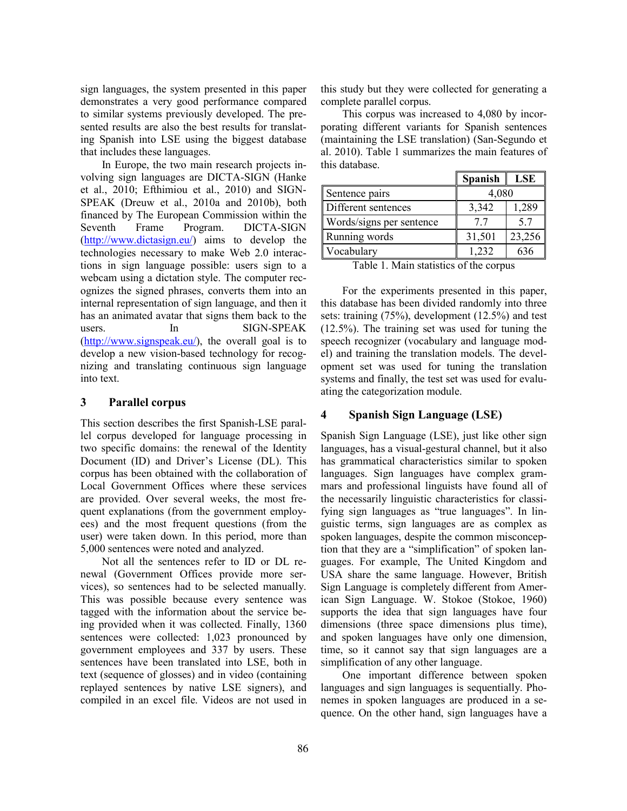sign languages, the system presented in this paper demonstrates a very good performance compared to similar systems previously developed. The presented results are also the best results for translating Spanish into LSE using the biggest database that includes these languages.

In Europe, the two main research projects involving sign languages are DICTA-SIGN (Hanke et al., 2010; Efthimiou et al., 2010) and SIGN-SPEAK (Dreuw et al., 2010a and 2010b), both financed by The European Commission within the Seventh Frame Program. DICTA-SIGN (http://www.dictasign.eu/) aims to develop the technologies necessary to make Web 2.0 interactions in sign language possible: users sign to a webcam using a dictation style. The computer recognizes the signed phrases, converts them into an internal representation of sign language, and then it has an animated avatar that signs them back to the users. In SIGN-SPEAK (http://www.signspeak.eu/), the overall goal is to develop a new vision-based technology for recognizing and translating continuous sign language into text.

### **3 Parallel corpus**

This section describes the first Spanish-LSE parallel corpus developed for language processing in two specific domains: the renewal of the Identity Document (ID) and Driver's License (DL). This corpus has been obtained with the collaboration of Local Government Offices where these services are provided. Over several weeks, the most frequent explanations (from the government employees) and the most frequent questions (from the user) were taken down. In this period, more than 5,000 sentences were noted and analyzed.

Not all the sentences refer to ID or DL renewal (Government Offices provide more services), so sentences had to be selected manually. This was possible because every sentence was tagged with the information about the service being provided when it was collected. Finally, 1360 sentences were collected: 1,023 pronounced by government employees and 337 by users. These sentences have been translated into LSE, both in text (sequence of glosses) and in video (containing replayed sentences by native LSE signers), and compiled in an excel file. Videos are not used in this study but they were collected for generating a complete parallel corpus.

This corpus was increased to 4,080 by incorporating different variants for Spanish sentences (maintaining the LSE translation) (San-Segundo et al. 2010). Table 1 summarizes the main features of this database.

|                          | Spanish | LSE    |  |
|--------------------------|---------|--------|--|
| Sentence pairs           | 4,080   |        |  |
| Different sentences      | 3,342   | 1,289  |  |
| Words/signs per sentence | 77      | 57     |  |
| Running words            | 31,501  | 23,256 |  |
| Vocabulary               | 1,232   |        |  |

Table 1. Main statistics of the corpus

For the experiments presented in this paper, this database has been divided randomly into three sets: training (75%), development (12.5%) and test (12.5%). The training set was used for tuning the speech recognizer (vocabulary and language model) and training the translation models. The development set was used for tuning the translation systems and finally, the test set was used for evaluating the categorization module.

# **4 Spanish Sign Language (LSE)**

Spanish Sign Language (LSE), just like other sign languages, has a visual-gestural channel, but it also has grammatical characteristics similar to spoken languages. Sign languages have complex grammars and professional linguists have found all of the necessarily linguistic characteristics for classifying sign languages as "true languages". In linguistic terms, sign languages are as complex as spoken languages, despite the common misconception that they are a "simplification" of spoken languages. For example, The United Kingdom and USA share the same language. However, British Sign Language is completely different from American Sign Language. W. Stokoe (Stokoe, 1960) supports the idea that sign languages have four dimensions (three space dimensions plus time), and spoken languages have only one dimension, time, so it cannot say that sign languages are a simplification of any other language.

One important difference between spoken languages and sign languages is sequentially. Phonemes in spoken languages are produced in a sequence. On the other hand, sign languages have a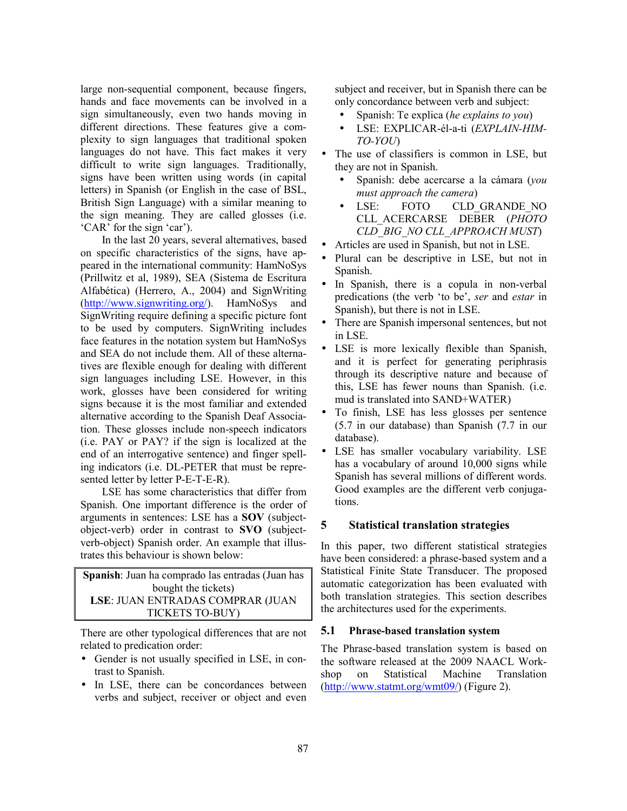large non-sequential component, because fingers, hands and face movements can be involved in a sign simultaneously, even two hands moving in different directions. These features give a complexity to sign languages that traditional spoken languages do not have. This fact makes it very difficult to write sign languages. Traditionally, signs have been written using words (in capital letters) in Spanish (or English in the case of BSL, British Sign Language) with a similar meaning to the sign meaning. They are called glosses (i.e. 'CAR' for the sign 'car').

In the last 20 years, several alternatives, based on specific characteristics of the signs, have appeared in the international community: HamNoSys (Prillwitz et al, 1989), SEA (Sistema de Escritura Alfabética) (Herrero, A., 2004) and SignWriting (http://www.signwriting.org/). HamNoSys and SignWriting require defining a specific picture font to be used by computers. SignWriting includes face features in the notation system but HamNoSys and SEA do not include them. All of these alternatives are flexible enough for dealing with different sign languages including LSE. However, in this work, glosses have been considered for writing signs because it is the most familiar and extended alternative according to the Spanish Deaf Association. These glosses include non-speech indicators (i.e. PAY or PAY? if the sign is localized at the end of an interrogative sentence) and finger spelling indicators (i.e. DL-PETER that must be represented letter by letter P-E-T-E-R).

LSE has some characteristics that differ from Spanish. One important difference is the order of arguments in sentences: LSE has a **SOV** (subjectobject-verb) order in contrast to **SVO** (subjectverb-object) Spanish order. An example that illustrates this behaviour is shown below:

| Spanish: Juan ha comprado las entradas (Juan has |
|--------------------------------------------------|
| bought the tickets)                              |
| LSE: JUAN ENTRADAS COMPRAR (JUAN                 |
| TICKETS TO-BUY)                                  |

There are other typological differences that are not related to predication order:

- Gender is not usually specified in LSE, in contrast to Spanish.
- In LSE, there can be concordances between verbs and subject, receiver or object and even

subject and receiver, but in Spanish there can be only concordance between verb and subject:

- Spanish: Te explica (*he explains to you*)
- LSE: EXPLICAR-él-a-ti (*EXPLAIN-HIM-TO-YOU*)
- The use of classifiers is common in LSE, but they are not in Spanish.
	- Spanish: debe acercarse a la cámara (*you must approach the camera*)
	- LSE: FOTO CLD GRANDE NO CLL\_ACERCARSE DEBER (*PHOTO CLD\_BIG\_NO CLL\_APPROACH MUST*)
- Articles are used in Spanish, but not in LSE.
- Plural can be descriptive in LSE, but not in Spanish.
- In Spanish, there is a copula in non-verbal predications (the verb 'to be', *ser* and *estar* in Spanish), but there is not in LSE.
- There are Spanish impersonal sentences, but not in LSE.
- LSE is more lexically flexible than Spanish, and it is perfect for generating periphrasis through its descriptive nature and because of this, LSE has fewer nouns than Spanish. (i.e. mud is translated into SAND+WATER)
- To finish, LSE has less glosses per sentence (5.7 in our database) than Spanish (7.7 in our database).
- LSE has smaller vocabulary variability. LSE has a vocabulary of around 10,000 signs while Spanish has several millions of different words. Good examples are the different verb conjugations.

# **5 Statistical translation strategies**

In this paper, two different statistical strategies have been considered: a phrase-based system and a Statistical Finite State Transducer. The proposed automatic categorization has been evaluated with both translation strategies. This section describes the architectures used for the experiments.

# **5.1 Phrase-based translation system**

The Phrase-based translation system is based on the software released at the 2009 NAACL Workshop on Statistical Machine Translation (http://www.statmt.org/wmt09/) (Figure 2).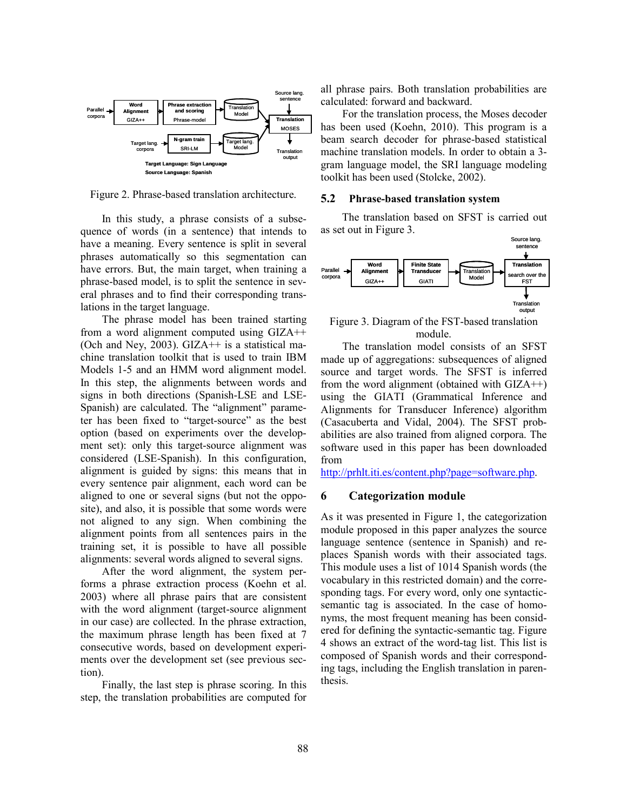

Figure 2. Phrase-based translation architecture.

In this study, a phrase consists of a subsequence of words (in a sentence) that intends to have a meaning. Every sentence is split in several phrases automatically so this segmentation can have errors. But, the main target, when training a phrase-based model, is to split the sentence in several phrases and to find their corresponding translations in the target language.

The phrase model has been trained starting from a word alignment computed using GIZA++ (Och and Ney, 2003). GIZA $++$  is a statistical machine translation toolkit that is used to train IBM Models 1-5 and an HMM word alignment model. In this step, the alignments between words and signs in both directions (Spanish-LSE and LSE-Spanish) are calculated. The "alignment" parameter has been fixed to "target-source" as the best option (based on experiments over the development set): only this target-source alignment was considered (LSE-Spanish). In this configuration, alignment is guided by signs: this means that in every sentence pair alignment, each word can be aligned to one or several signs (but not the opposite), and also, it is possible that some words were not aligned to any sign. When combining the alignment points from all sentences pairs in the training set, it is possible to have all possible alignments: several words aligned to several signs.

After the word alignment, the system performs a phrase extraction process (Koehn et al. 2003) where all phrase pairs that are consistent with the word alignment (target-source alignment in our case) are collected. In the phrase extraction, the maximum phrase length has been fixed at 7 consecutive words, based on development experiments over the development set (see previous section).

Finally, the last step is phrase scoring. In this step, the translation probabilities are computed for all phrase pairs. Both translation probabilities are calculated: forward and backward.

For the translation process, the Moses decoder has been used (Koehn, 2010). This program is a beam search decoder for phrase-based statistical machine translation models. In order to obtain a 3 gram language model, the SRI language modeling toolkit has been used (Stolcke, 2002).

#### **5.2 Phrase-based translation system**

The translation based on SFST is carried out as set out in Figure 3.



Figure 3. Diagram of the FST-based translation module.

The translation model consists of an SFST made up of aggregations: subsequences of aligned source and target words. The SFST is inferred from the word alignment (obtained with  $GIZA++$ ) using the GIATI (Grammatical Inference and Alignments for Transducer Inference) algorithm (Casacuberta and Vidal, 2004). The SFST probabilities are also trained from aligned corpora. The software used in this paper has been downloaded from

http://prhlt.iti.es/content.php?page=software.php.

#### **6 Categorization module**

As it was presented in Figure 1, the categorization module proposed in this paper analyzes the source language sentence (sentence in Spanish) and replaces Spanish words with their associated tags. This module uses a list of 1014 Spanish words (the vocabulary in this restricted domain) and the corresponding tags. For every word, only one syntacticsemantic tag is associated. In the case of homonyms, the most frequent meaning has been considered for defining the syntactic-semantic tag. Figure 4 shows an extract of the word-tag list. This list is composed of Spanish words and their corresponding tags, including the English translation in parenthesis.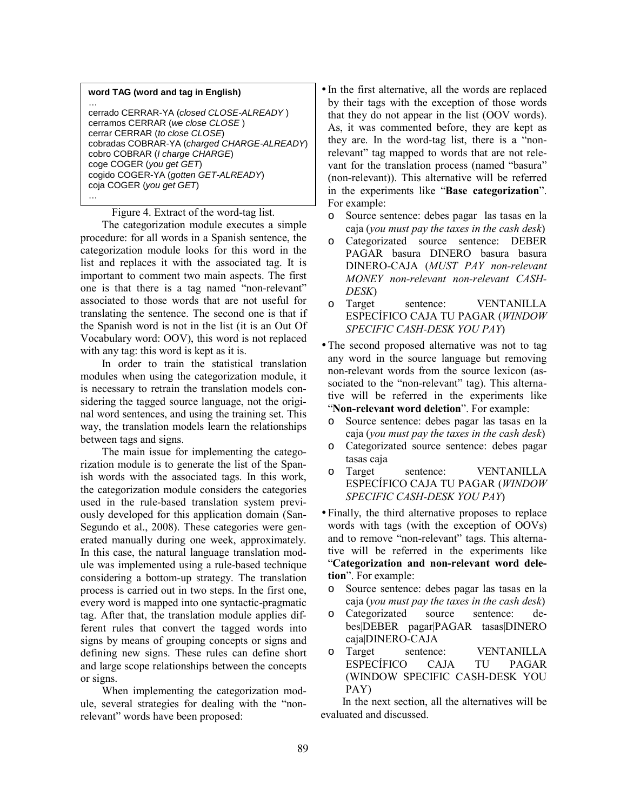#### **word TAG (word and tag in English)**

… cerrado CERRAR-YA (closed CLOSE-ALREADY ) cerramos CERRAR (we close CLOSE ) cerrar CERRAR (to close CLOSE) cobradas COBRAR-YA (charged CHARGE-ALREADY) cobro COBRAR (I charge CHARGE) coge COGER (you get GET) cogido COGER-YA (gotten GET-ALREADY) coja COGER (you get GET) …

Figure 4. Extract of the word-tag list.

The categorization module executes a simple procedure: for all words in a Spanish sentence, the categorization module looks for this word in the list and replaces it with the associated tag. It is important to comment two main aspects. The first one is that there is a tag named "non-relevant" associated to those words that are not useful for translating the sentence. The second one is that if the Spanish word is not in the list (it is an Out Of Vocabulary word: OOV), this word is not replaced with any tag: this word is kept as it is.

In order to train the statistical translation modules when using the categorization module, it is necessary to retrain the translation models considering the tagged source language, not the original word sentences, and using the training set. This way, the translation models learn the relationships between tags and signs.

The main issue for implementing the categorization module is to generate the list of the Spanish words with the associated tags. In this work, the categorization module considers the categories used in the rule-based translation system previously developed for this application domain (San-Segundo et al., 2008). These categories were generated manually during one week, approximately. In this case, the natural language translation module was implemented using a rule-based technique considering a bottom-up strategy. The translation process is carried out in two steps. In the first one, every word is mapped into one syntactic-pragmatic tag. After that, the translation module applies different rules that convert the tagged words into signs by means of grouping concepts or signs and defining new signs. These rules can define short and large scope relationships between the concepts or signs.

When implementing the categorization module, several strategies for dealing with the "nonrelevant" words have been proposed:

• In the first alternative, all the words are replaced by their tags with the exception of those words that they do not appear in the list (OOV words). As, it was commented before, they are kept as they are. In the word-tag list, there is a "nonrelevant" tag mapped to words that are not relevant for the translation process (named "basura" (non-relevant)). This alternative will be referred in the experiments like "**Base categorization**". For example:

- o Source sentence: debes pagar las tasas en la caja (*you must pay the taxes in the cash desk*)
- o Categorizated source sentence: DEBER PAGAR basura DINERO basura basura DINERO-CAJA (*MUST PAY non-relevant MONEY non-relevant non-relevant CASH-DESK*)
- o Target sentence: VENTANILLA ESPECÍFICO CAJA TU PAGAR (*WINDOW SPECIFIC CASH-DESK YOU PAY*)
- The second proposed alternative was not to tag any word in the source language but removing non-relevant words from the source lexicon (associated to the "non-relevant" tag). This alternative will be referred in the experiments like "**Non-relevant word deletion**". For example:
	- o Source sentence: debes pagar las tasas en la caja (*you must pay the taxes in the cash desk*)
	- o Categorizated source sentence: debes pagar tasas caja
	- o Target sentence: VENTANILLA ESPECÍFICO CAJA TU PAGAR (*WINDOW SPECIFIC CASH-DESK YOU PAY*)
- Finally, the third alternative proposes to replace words with tags (with the exception of OOVs) and to remove "non-relevant" tags. This alternative will be referred in the experiments like "**Categorization and non-relevant word deletion**". For example:
- o Source sentence: debes pagar las tasas en la caja (*you must pay the taxes in the cash desk*)
- o Categorizated source sentence: debes|DEBER pagar|PAGAR tasas|DINERO caja|DINERO-CAJA
- o Target sentence: VENTANILLA ESPECÍFICO CAJA TU PAGAR (WINDOW SPECIFIC CASH-DESK YOU PAY)

In the next section, all the alternatives will be evaluated and discussed.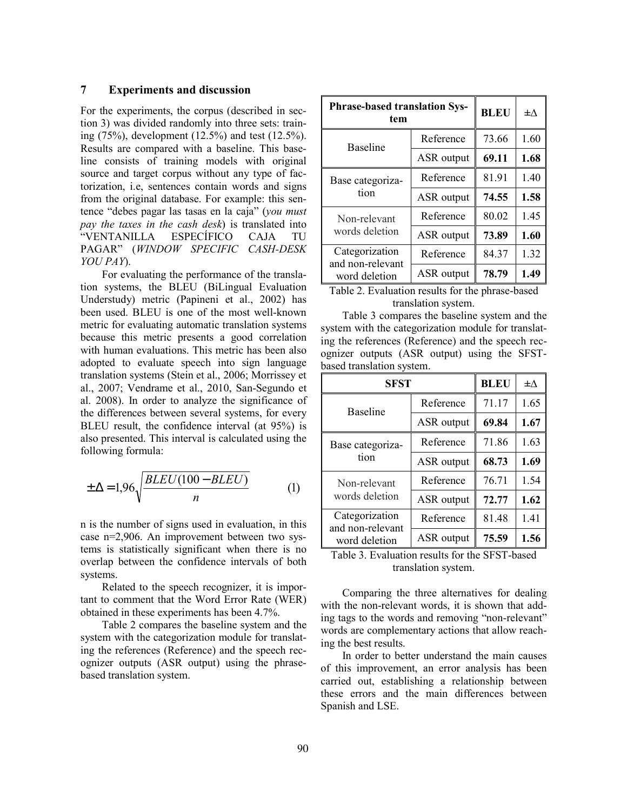# **7 Experiments and discussion**

For the experiments, the corpus (described in section 3) was divided randomly into three sets: training (75%), development (12.5%) and test (12.5%). Results are compared with a baseline. This baseline consists of training models with original source and target corpus without any type of factorization, i.e, sentences contain words and signs from the original database. For example: this sentence "debes pagar las tasas en la caja" (*you must pay the taxes in the cash desk*) is translated into "VENTANILLA ESPECÍFICO CAJA TU PAGAR" (*WINDOW SPECIFIC CASH-DESK YOU PAY*).

For evaluating the performance of the translation systems, the BLEU (BiLingual Evaluation Understudy) metric (Papineni et al., 2002) has been used. BLEU is one of the most well-known metric for evaluating automatic translation systems because this metric presents a good correlation with human evaluations. This metric has been also adopted to evaluate speech into sign language translation systems (Stein et al., 2006; Morrissey et al., 2007; Vendrame et al., 2010, San-Segundo et al. 2008). In order to analyze the significance of the differences between several systems, for every BLEU result, the confidence interval (at 95%) is also presented. This interval is calculated using the following formula:

$$
\pm \Delta = 1,96 \sqrt{\frac{BLEU(100 - BLEU)}{n}}
$$
 (1)

n is the number of signs used in evaluation, in this case n=2,906. An improvement between two systems is statistically significant when there is no overlap between the confidence intervals of both systems.

Related to the speech recognizer, it is important to comment that the Word Error Rate (WER) obtained in these experiments has been 4.7%.

Table 2 compares the baseline system and the system with the categorization module for translating the references (Reference) and the speech recognizer outputs (ASR output) using the phrasebased translation system.

| <b>Phrase-based translation Sys-</b><br>tem                         |                                    | <b>BLEU</b> | $\pm \Lambda$ |
|---------------------------------------------------------------------|------------------------------------|-------------|---------------|
| <b>Baseline</b>                                                     | Reference                          | 73.66       | 1.60          |
|                                                                     | ASR output                         | 69.11       | 1.68          |
| Base categoriza-<br>tion                                            | Reference                          | 81.91       | 1.40          |
|                                                                     | ASR output                         | 74.55       | 1.58          |
| Non-relevant<br>words deletion                                      | Reference                          | 80.02       | 1.45          |
|                                                                     | ASR output                         | 73.89       | 1.60          |
| Categorization<br>and non-relevant<br>word deletion<br>m 11 A m 1 1 | Reference                          | 84.37       | 1.32          |
|                                                                     | ASR output<br>$\sim$ $\sim$ $\sim$ | 78.79<br>1. | 1.49          |

Table 2. Evaluation results for the phrase-based translation system.

Table 3 compares the baseline system and the system with the categorization module for translating the references (Reference) and the speech recognizer outputs (ASR output) using the SFSTbased translation system.

| <b>SFST</b>                                         |            | <b>BLEU</b> | ±Λ   |
|-----------------------------------------------------|------------|-------------|------|
| <b>Baseline</b>                                     | Reference  | 71.17       | 1.65 |
|                                                     | ASR output | 69.84       | 1.67 |
| Base categoriza-<br>tion                            | Reference  | 71.86       | 1.63 |
|                                                     | ASR output | 68.73       | 1.69 |
| Reference<br>Non-relevant<br>words deletion         |            | 76.71       | 1.54 |
|                                                     | ASR output | 72.77       | 1.62 |
| Categorization<br>and non-relevant<br>word deletion | Reference  | 81.48       | 1.41 |
|                                                     | ASR output | 75.59       | 1.56 |

Table 3. Evaluation results for the SFST-based translation system.

Comparing the three alternatives for dealing with the non-relevant words, it is shown that adding tags to the words and removing "non-relevant" words are complementary actions that allow reaching the best results.

In order to better understand the main causes of this improvement, an error analysis has been carried out, establishing a relationship between these errors and the main differences between Spanish and LSE.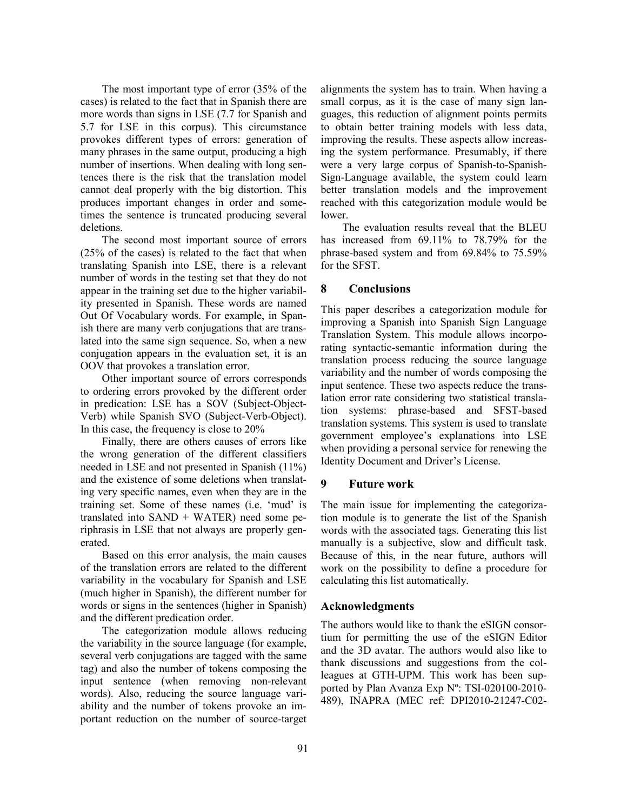The most important type of error (35% of the cases) is related to the fact that in Spanish there are more words than signs in LSE (7.7 for Spanish and 5.7 for LSE in this corpus). This circumstance provokes different types of errors: generation of many phrases in the same output, producing a high number of insertions. When dealing with long sentences there is the risk that the translation model cannot deal properly with the big distortion. This produces important changes in order and sometimes the sentence is truncated producing several deletions.

The second most important source of errors (25% of the cases) is related to the fact that when translating Spanish into LSE, there is a relevant number of words in the testing set that they do not appear in the training set due to the higher variability presented in Spanish. These words are named Out Of Vocabulary words. For example, in Spanish there are many verb conjugations that are translated into the same sign sequence. So, when a new conjugation appears in the evaluation set, it is an OOV that provokes a translation error.

Other important source of errors corresponds to ordering errors provoked by the different order in predication: LSE has a SOV (Subject-Object-Verb) while Spanish SVO (Subject-Verb-Object). In this case, the frequency is close to 20%

Finally, there are others causes of errors like the wrong generation of the different classifiers needed in LSE and not presented in Spanish (11%) and the existence of some deletions when translating very specific names, even when they are in the training set. Some of these names (i.e. 'mud' is translated into SAND + WATER) need some periphrasis in LSE that not always are properly generated.

Based on this error analysis, the main causes of the translation errors are related to the different variability in the vocabulary for Spanish and LSE (much higher in Spanish), the different number for words or signs in the sentences (higher in Spanish) and the different predication order.

The categorization module allows reducing the variability in the source language (for example, several verb conjugations are tagged with the same tag) and also the number of tokens composing the input sentence (when removing non-relevant words). Also, reducing the source language variability and the number of tokens provoke an important reduction on the number of source-target alignments the system has to train. When having a small corpus, as it is the case of many sign languages, this reduction of alignment points permits to obtain better training models with less data, improving the results. These aspects allow increasing the system performance. Presumably, if there were a very large corpus of Spanish-to-Spanish-Sign-Language available, the system could learn better translation models and the improvement reached with this categorization module would be lower.

The evaluation results reveal that the BLEU has increased from 69.11% to 78.79% for the phrase-based system and from 69.84% to 75.59% for the SFST.

# **8 Conclusions**

This paper describes a categorization module for improving a Spanish into Spanish Sign Language Translation System. This module allows incorporating syntactic-semantic information during the translation process reducing the source language variability and the number of words composing the input sentence. These two aspects reduce the translation error rate considering two statistical translation systems: phrase-based and SFST-based translation systems. This system is used to translate government employee's explanations into LSE when providing a personal service for renewing the Identity Document and Driver's License.

# **9 Future work**

The main issue for implementing the categorization module is to generate the list of the Spanish words with the associated tags. Generating this list manually is a subjective, slow and difficult task. Because of this, in the near future, authors will work on the possibility to define a procedure for calculating this list automatically.

# **Acknowledgments**

The authors would like to thank the eSIGN consortium for permitting the use of the eSIGN Editor and the 3D avatar. The authors would also like to thank discussions and suggestions from the colleagues at GTH-UPM. This work has been supported by Plan Avanza Exp Nº: TSI-020100-2010- 489), INAPRA (MEC ref: DPI2010-21247-C02-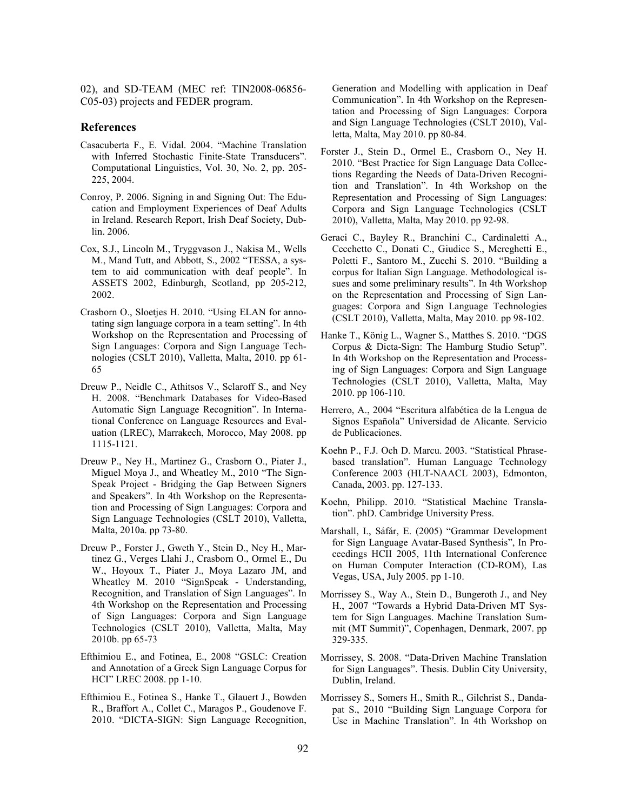02), and SD-TEAM (MEC ref: TIN2008-06856- C05-03) projects and FEDER program.

#### **References**

- Casacuberta F., E. Vidal. 2004. "Machine Translation with Inferred Stochastic Finite-State Transducers". Computational Linguistics, Vol. 30, No. 2, pp. 205- 225, 2004.
- Conroy, P. 2006. Signing in and Signing Out: The Education and Employment Experiences of Deaf Adults in Ireland. Research Report, Irish Deaf Society, Dublin. 2006.
- Cox, S.J., Lincoln M., Tryggvason J., Nakisa M., Wells M., Mand Tutt, and Abbott, S., 2002 "TESSA, a system to aid communication with deaf people". In ASSETS 2002, Edinburgh, Scotland, pp 205-212, 2002.
- Crasborn O., Sloetjes H. 2010. "Using ELAN for annotating sign language corpora in a team setting". In 4th Workshop on the Representation and Processing of Sign Languages: Corpora and Sign Language Technologies (CSLT 2010), Valletta, Malta, 2010. pp 61- 65
- Dreuw P., Neidle C., Athitsos V., Sclaroff S., and Ney H. 2008. "Benchmark Databases for Video-Based Automatic Sign Language Recognition". In International Conference on Language Resources and Evaluation (LREC), Marrakech, Morocco, May 2008. pp 1115-1121.
- Dreuw P., Ney H., Martinez G., Crasborn O., Piater J., Miguel Moya J., and Wheatley M., 2010 "The Sign-Speak Project - Bridging the Gap Between Signers and Speakers". In 4th Workshop on the Representation and Processing of Sign Languages: Corpora and Sign Language Technologies (CSLT 2010), Valletta, Malta, 2010a. pp 73-80.
- Dreuw P., Forster J., Gweth Y., Stein D., Ney H., Martinez G., Verges Llahi J., Crasborn O., Ormel E., Du W., Hoyoux T., Piater J., Moya Lazaro JM, and Wheatley M. 2010 "SignSpeak - Understanding, Recognition, and Translation of Sign Languages". In 4th Workshop on the Representation and Processing of Sign Languages: Corpora and Sign Language Technologies (CSLT 2010), Valletta, Malta, May 2010b. pp 65-73
- Efthimiou E., and Fotinea, E., 2008 "GSLC: Creation and Αnnotation of a Greek Sign Language Corpus for HCI" LREC 2008. pp 1-10.
- Efthimiou E., Fotinea S., Hanke T., Glauert J., Bowden R., Braffort A., Collet C., Maragos P., Goudenove F. 2010. "DICTA-SIGN: Sign Language Recognition,

Generation and Modelling with application in Deaf Communication". In 4th Workshop on the Representation and Processing of Sign Languages: Corpora and Sign Language Technologies (CSLT 2010), Valletta, Malta, May 2010. pp 80-84.

- Forster J., Stein D., Ormel E., Crasborn O., Ney H. 2010. "Best Practice for Sign Language Data Collections Regarding the Needs of Data-Driven Recognition and Translation". In 4th Workshop on the Representation and Processing of Sign Languages: Corpora and Sign Language Technologies (CSLT 2010), Valletta, Malta, May 2010. pp 92-98.
- Geraci C., Bayley R., Branchini C., Cardinaletti A., Cecchetto C., Donati C., Giudice S., Mereghetti E., Poletti F., Santoro M., Zucchi S. 2010. "Building a corpus for Italian Sign Language. Methodological issues and some preliminary results". In 4th Workshop on the Representation and Processing of Sign Languages: Corpora and Sign Language Technologies (CSLT 2010), Valletta, Malta, May 2010. pp 98-102.
- Hanke T., König L., Wagner S., Matthes S. 2010. "DGS Corpus & Dicta-Sign: The Hamburg Studio Setup". In 4th Workshop on the Representation and Processing of Sign Languages: Corpora and Sign Language Technologies (CSLT 2010), Valletta, Malta, May 2010. pp 106-110.
- Herrero, A., 2004 "Escritura alfabética de la Lengua de Signos Española" Universidad de Alicante. Servicio de Publicaciones.
- Koehn P., F.J. Och D. Marcu. 2003. "Statistical Phrasebased translation". Human Language Technology Conference 2003 (HLT-NAACL 2003), Edmonton, Canada, 2003. pp. 127-133.
- Koehn, Philipp. 2010. "Statistical Machine Translation". phD. Cambridge University Press.
- Marshall, I., Sáfár, E. (2005) "Grammar Development for Sign Language Avatar-Based Synthesis", In Proceedings HCII 2005, 11th International Conference on Human Computer Interaction (CD-ROM), Las Vegas, USA, July 2005. pp 1-10.
- Morrissey S., Way A., Stein D., Bungeroth J., and Ney H., 2007 "Towards a Hybrid Data-Driven MT System for Sign Languages. Machine Translation Summit (MT Summit)", Copenhagen, Denmark, 2007. pp 329-335.
- Morrissey, S. 2008. "Data-Driven Machine Translation for Sign Languages". Thesis. Dublin City University, Dublin, Ireland.
- Morrissey S., Somers H., Smith R., Gilchrist S., Dandapat S., 2010 "Building Sign Language Corpora for Use in Machine Translation". In 4th Workshop on